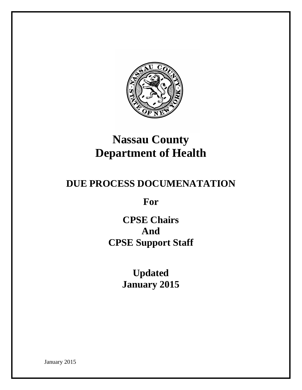

# **Nassau County Department of Health**

# **DUE PROCESS DOCUMENATATION**

**For**

**CPSE Chairs And CPSE Support Staff**

> **Updated January 2015**

January 2015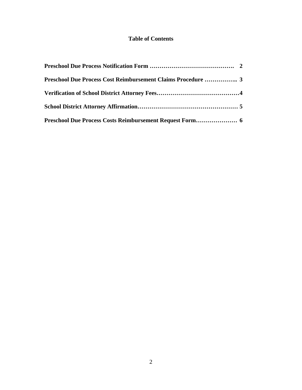#### **Table of Contents**

| Preschool Due Process Cost Reimbursement Claims Procedure  3 |  |
|--------------------------------------------------------------|--|
|                                                              |  |
|                                                              |  |
|                                                              |  |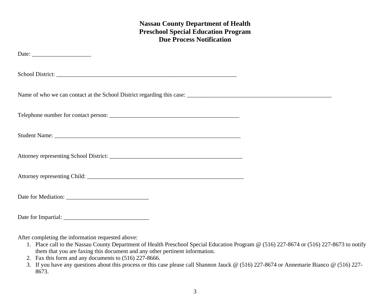#### **Nassau County Department of Health Preschool Special Education Program Due Process Notification**

| Date: $\frac{1}{\sqrt{1-\frac{1}{2}}\sqrt{1-\frac{1}{2}}\sqrt{1-\frac{1}{2}}\sqrt{1-\frac{1}{2}}\sqrt{1-\frac{1}{2}}}}$ |  |
|-------------------------------------------------------------------------------------------------------------------------|--|
| School District:                                                                                                        |  |
|                                                                                                                         |  |
|                                                                                                                         |  |
|                                                                                                                         |  |
|                                                                                                                         |  |
|                                                                                                                         |  |
|                                                                                                                         |  |
|                                                                                                                         |  |

After completing the information requested above:

- 1. Place call to the Nassau County Department of Health Preschool Special Education Program @ (516) 227-8674 or (516) 227-8673 to notify them that you are faxing this document and any other pertinent information.
- 2. Fax this form and any documents to (516) 227-8666.
- 3. If you have any questions about this process or this case please call Shannon Jauck @ (516) 227-8674 or Annemarie Bianco @ (516) 227- 8673.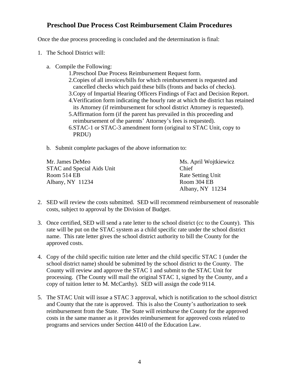#### **Preschool Due Process Cost Reimbursement Claim Procedures**

Once the due process proceeding is concluded and the determination is final:

- 1. The School District will:
	- a. Compile the Following:
		- 1.Preschool Due Process Reimbursement Request form.
		- 2.Copies of all invoices/bills for which reimbursement is requested and cancelled checks which paid these bills (fronts and backs of checks). 3.Copy of Impartial Hearing Officers Findings of Fact and Decision Report.
		- 4.Verification form indicating the hourly rate at which the district has retained its Attorney (if reimbursement for school district Attorney is requested).
		- 5.Affirmation form (if the parent has prevailed in this proceeding and reimbursement of the parents' Attorney's fees is requested). 6.STAC-1 or STAC-3 amendment form (original to STAC Unit, copy to
		- PRDU)

b. Submit complete packages of the above information to:

| Mr. James DeMeo            | Ms. April Wojtkiewicz    |
|----------------------------|--------------------------|
| STAC and Special Aids Unit | Chief                    |
| Room 514 EB                | <b>Rate Setting Unit</b> |
| Albany, NY 11234           | Room 304 EB              |
|                            | Albany, NY 11234         |

- 2. SED will review the costs submitted. SED will recommend reimbursement of reasonable costs, subject to approval by the Division of Budget.
- 3. Once certified, SED will send a rate letter to the school district (cc to the County). This rate will be put on the STAC system as a child specific rate under the school district name. This rate letter gives the school district authority to bill the County for the approved costs.
- 4. Copy of the child specific tuition rate letter and the child specific STAC 1 (under the school district name) should be submitted by the school district to the County. The County will review and approve the STAC 1 and submit to the STAC Unit for processing. (The County will mail the original STAC 1, signed by the County, and a copy of tuition letter to M. McCarthy). SED will assign the code 9114.
- 5. The STAC Unit will issue a STAC 3 approval, which is notification to the school district and County that the rate is approved. This is also the County's authorization to seek reimbursement from the State. The State will reimburse the County for the approved costs in the same manner as it provides reimbursement for approved costs related to programs and services under Section 4410 of the Education Law.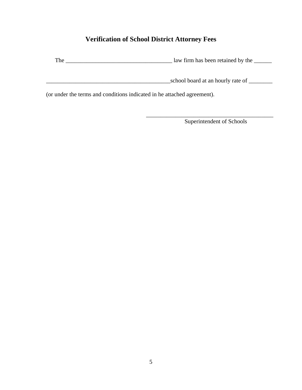# **Verification of School District Attorney Fees**

The \_\_\_\_\_\_\_\_\_\_\_\_\_\_\_\_\_\_\_\_\_\_\_\_\_\_\_\_\_\_\_\_\_\_\_\_ law firm has been retained by the \_\_\_\_\_\_

\_\_\_\_\_\_\_\_\_\_\_\_\_\_\_\_\_\_\_\_\_\_\_\_\_\_\_\_\_\_\_\_\_\_\_\_\_\_\_\_\_\_school board at an hourly rate of \_\_\_\_\_\_\_\_

(or under the terms and conditions indicated in he attached agreement).

Superintendent of Schools

\_\_\_\_\_\_\_\_\_\_\_\_\_\_\_\_\_\_\_\_\_\_\_\_\_\_\_\_\_\_\_\_\_\_\_\_\_\_\_\_\_\_\_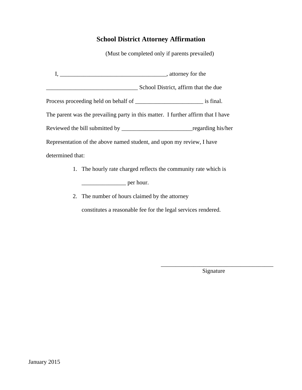### **School District Attorney Affirmation**

(Must be completed only if parents prevailed)

|                                                                       | School District, affirm that the due                                             |  |  |
|-----------------------------------------------------------------------|----------------------------------------------------------------------------------|--|--|
|                                                                       |                                                                                  |  |  |
|                                                                       | The parent was the prevailing party in this matter. I further affirm that I have |  |  |
|                                                                       |                                                                                  |  |  |
| Representation of the above named student, and upon my review, I have |                                                                                  |  |  |
| determined that:                                                      |                                                                                  |  |  |

- 1. The hourly rate charged reflects the community rate which is \_\_\_\_\_\_\_\_\_\_\_\_\_\_\_ per hour.
- 2. The number of hours claimed by the attorney

constitutes a reasonable fee for the legal services rendered.

\_\_\_\_\_\_\_\_\_\_\_\_\_\_\_\_\_\_\_\_\_\_\_\_\_\_\_\_\_\_\_\_\_\_\_\_\_\_ Signature